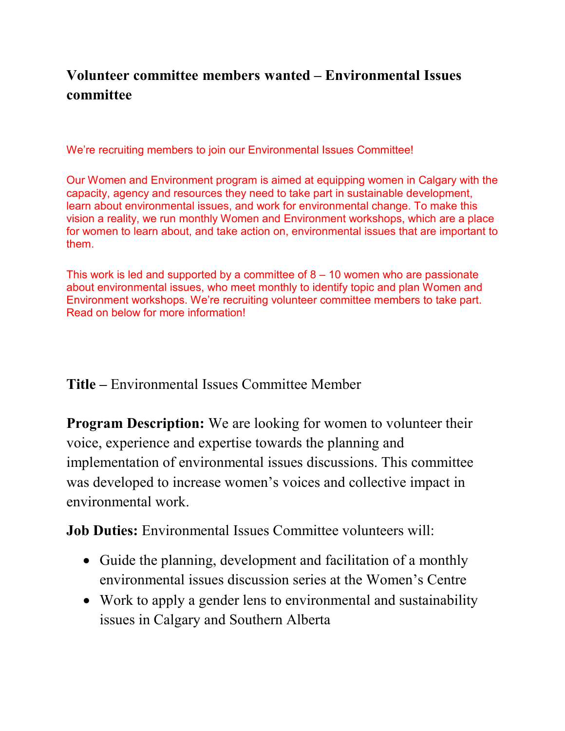## **Volunteer committee members wanted – Environmental Issues committee**

We're recruiting members to join our Environmental Issues Committee!

Our Women and Environment program is aimed at equipping women in Calgary with the capacity, agency and resources they need to take part in sustainable development, learn about environmental issues, and work for environmental change. To make this vision a reality, we run monthly Women and Environment workshops, which are a place for women to learn about, and take action on, environmental issues that are important to them.

This work is led and supported by a committee of  $8 - 10$  women who are passionate about environmental issues, who meet monthly to identify topic and plan Women and Environment workshops. We're recruiting volunteer committee members to take part. Read on below for more information!

**Title –** Environmental Issues Committee Member

**Program Description:** We are looking for women to volunteer their voice, experience and expertise towards the planning and implementation of environmental issues discussions. This committee was developed to increase women's voices and collective impact in environmental work.

**Job Duties:** Environmental Issues Committee volunteers will:

- Guide the planning, development and facilitation of a monthly environmental issues discussion series at the Women's Centre
- Work to apply a gender lens to environmental and sustainability issues in Calgary and Southern Alberta